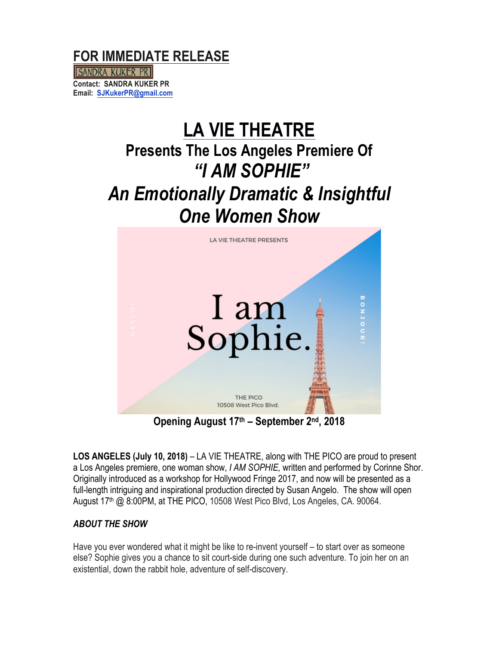

SANDRA KUKER PR **Contact: SANDRA KUKER PR Email: SJKukerPR@gmail.com**

# **LA VIE THEATRE Presents The Los Angeles Premiere Of** *"I AM SOPHIE" An Emotionally Dramatic & Insightful One Women Show*



**Opening August 17th – September 2nd, 2018**

LOS ANGELES (July 10, 2018) – LA VIE THEATRE, along with THE PICO are proud to present a Los Angeles premiere, one woman show, *I AM SOPHIE,* written and performed by Corinne Shor. Originally introduced as a workshop for Hollywood Fringe 2017, and now will be presented as a full-length intriguing and inspirational production directed by Susan Angelo. The show will open August 17<sup>th</sup> @ 8:00PM, at THE PICO, 10508 West Pico Blvd, Los Angeles, CA. 90064.

## *ABOUT THE SHOW*

Have you ever wondered what it might be like to re-invent yourself – to start over as someone else? Sophie gives you a chance to sit court-side during one such adventure. To join her on an existential, down the rabbit hole, adventure of self-discovery.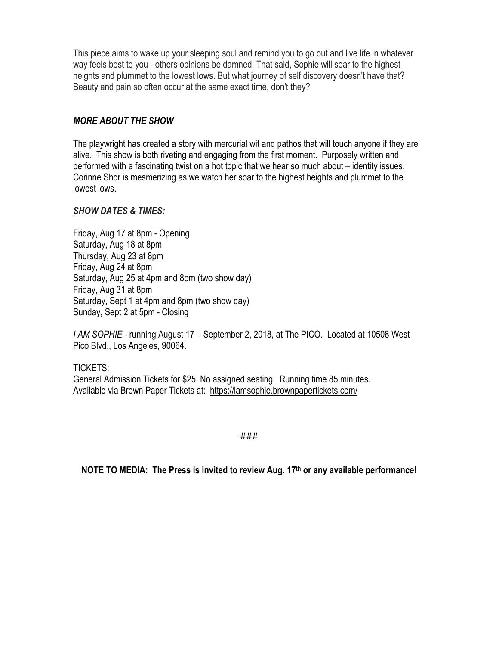This piece aims to wake up your sleeping soul and remind you to go out and live life in whatever way feels best to you - others opinions be damned. That said, Sophie will soar to the highest heights and plummet to the lowest lows. But what journey of self discovery doesn't have that? Beauty and pain so often occur at the same exact time, don't they?

### *MORE ABOUT THE SHOW*

The playwright has created a story with mercurial wit and pathos that will touch anyone if they are alive. This show is both riveting and engaging from the first moment. Purposely written and performed with a fascinating twist on a hot topic that we hear so much about – identity issues. Corinne Shor is mesmerizing as we watch her soar to the highest heights and plummet to the lowest lows.

#### *SHOW DATES & TIMES:*

Friday, Aug 17 at 8pm - Opening Saturday, Aug 18 at 8pm Thursday, Aug 23 at 8pm Friday, Aug 24 at 8pm Saturday, Aug 25 at 4pm and 8pm (two show day) Friday, Aug 31 at 8pm Saturday, Sept 1 at 4pm and 8pm (two show day) Sunday, Sept 2 at 5pm - Closing

*I AM SOPHIE -* running August 17 – September 2, 2018, at The PICO. Located at 10508 West Pico Blvd., Los Angeles, 90064.

TICKETS: General Admission Tickets for \$25. No assigned seating. Running time 85 minutes. Available via Brown Paper Tickets at: https://iamsophie.brownpapertickets.com/

###

**NOTE TO MEDIA: The Press is invited to review Aug. 17th or any available performance!**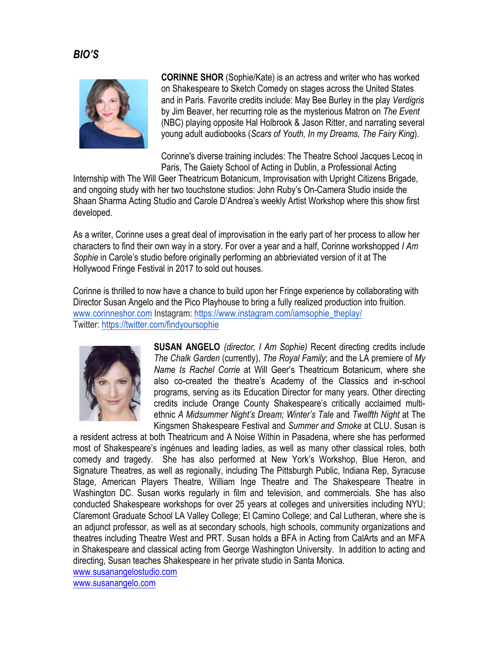# *BIO'S*



**CORINNE SHOR** (Sophie/Kate) is an actress and writer who has worked on Shakespeare to Sketch Comedy on stages across the United States and in Paris. Favorite credits include: May Bee Burley in the play *Verdigris* by Jim Beaver, her recurring role as the mysterious Matron on *The Event* (NBC) playing opposite Hal Holbrook & Jason Ritter, and narrating several young adult audiobooks (*Scars of Youth, In my Dreams, The Fairy King*).

Corinne's diverse training includes: The Theatre School Jacques Lecoq in Paris, The Gaiety School of Acting in Dublin, a Professional Acting

Internship with The Will Geer Theatricum Botanicum, Improvisation with Upright Citizens Brigade, and ongoing study with her two touchstone studios: John Ruby's On-Camera Studio inside the Shaan Sharma Acting Studio and Carole D'Andrea's weekly Artist Workshop where this show first developed.

As a writer, Corinne uses a great deal of improvisation in the early part of her process to allow her characters to find their own way in a story. For over a year and a half, Corinne workshopped *I Am Sophie* in Carole's studio before originally performing an abbrieviated version of it at The Hollywood Fringe Festival in 2017 to sold out houses.

Corinne is thrilled to now have a chance to build upon her Fringe experience by collaborating with Director Susan Angelo and the Pico Playhouse to bring a fully realized production into fruition. www.corinneshor.com Instagram: https://www.instagram.com/iamsophie\_theplay/ Twitter: https://twitter.com/findyoursophie



**SUSAN ANGELO** *(director, I Am Sophie)* Recent directing credits include *The Chalk Garden* (currently), *The Royal Family*; and the LA premiere of *My Name Is Rachel Corrie* at Will Geer's Theatricum Botanicum, where she also co-created the theatre's Academy of the Classics and in-school programs, serving as its Education Director for many years. Other directing credits include Orange County Shakespeare's critically acclaimed multiethnic *A Midsummer Night's Dream; Winter's Tale* and *Twelfth Night* at The Kingsmen Shakespeare Festival and *Summer and Smoke* at CLU. Susan is

a resident actress at both Theatricum and A Noise Within in Pasadena, where she has performed most of Shakespeare's ingénues and leading ladies, as well as many other classical roles, both comedy and tragedy. She has also performed at New York's Workshop, Blue Heron, and Signature Theatres, as well as regionally, including The Pittsburgh Public, Indiana Rep, Syracuse Stage, American Players Theatre, William Inge Theatre and The Shakespeare Theatre in Washington DC. Susan works regularly in film and television, and commercials. She has also conducted Shakespeare workshops for over 25 years at colleges and universities including NYU; Claremont Graduate School LA Valley College; El Camino College; and Cal Lutheran, where she is an adjunct professor, as well as at secondary schools, high schools, community organizations and theatres including Theatre West and PRT. Susan holds a BFA in Acting from CalArts and an MFA in Shakespeare and classical acting from George Washington University. In addition to acting and directing, Susan teaches Shakespeare in her private studio in Santa Monica.

www.susanangelostudio.com

www.susanangelo.com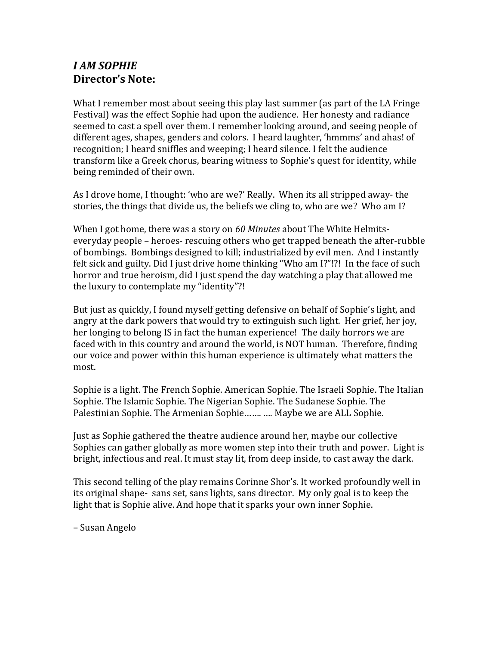# *I AM SOPHIE* **Director's Note:**

What I remember most about seeing this play last summer (as part of the LA Fringe Festival) was the effect Sophie had upon the audience. Her honesty and radiance seemed to cast a spell over them. I remember looking around, and seeing people of different ages, shapes, genders and colors. I heard laughter, 'hmmms' and ahas! of recognition; I heard sniffles and weeping; I heard silence. I felt the audience transform like a Greek chorus, bearing witness to Sophie's quest for identity, while being reminded of their own.

As I drove home, I thought: 'who are we?' Really. When its all stripped away- the stories, the things that divide us, the beliefs we cling to, who are we? Who am I?

When I got home, there was a story on 60 Minutes about The White Helmitseveryday people – heroes- rescuing others who get trapped beneath the after-rubble of bombings. Bombings designed to kill; industrialized by evil men. And I instantly felt sick and guilty. Did I just drive home thinking "Who am I?"!?! In the face of such horror and true heroism, did I just spend the day watching a play that allowed me the luxury to contemplate my "identity"?!

But just as quickly, I found myself getting defensive on behalf of Sophie's light, and angry at the dark powers that would try to extinguish such light. Her grief, her joy, her longing to belong IS in fact the human experience! The daily horrors we are faced with in this country and around the world, is NOT human. Therefore, finding our voice and power within this human experience is ultimately what matters the most.

Sophie is a light. The French Sophie. American Sophie. The Israeli Sophie. The Italian Sophie. The Islamic Sophie. The Nigerian Sophie. The Sudanese Sophie. The Palestinian Sophie. The Armenian Sophie....... .... Maybe we are ALL Sophie.

Just as Sophie gathered the theatre audience around her, maybe our collective Sophies can gather globally as more women step into their truth and power. Light is bright, infectious and real. It must stay lit, from deep inside, to cast away the dark.

This second telling of the play remains Corinne Shor's. It worked profoundly well in its original shape- sans set, sans lights, sans director. My only goal is to keep the light that is Sophie alive. And hope that it sparks your own inner Sophie.

– Susan Angelo